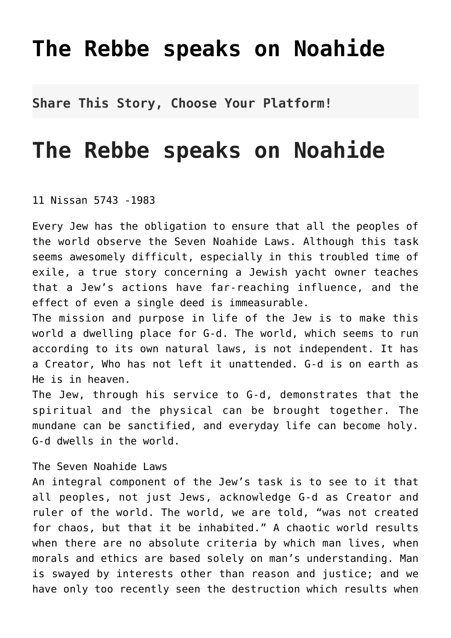## **[The Rebbe speaks on Noahide](http://noahide.org/the-rebbe-speaks-on-noahide/)**

**Share This Story, Choose Your Platform!**

## **The Rebbe speaks on Noahide**

11 Nissan 5743 -1983

Every Jew has the obligation to ensure that all the peoples of the world observe the Seven Noahide Laws. Although this task seems awesomely difficult, especially in this troubled time of exile, a true story concerning a Jewish yacht owner teaches that a Jew's actions have far-reaching influence, and the effect of even a single deed is immeasurable.

The mission and purpose in life of the Jew is to make this world a dwelling place for G-d. The world, which seems to run according to its own natural laws, is not independent. It has a Creator, Who has not left it unattended. G-d is on earth as He is in heaven.

The Jew, through his service to G-d, demonstrates that the spiritual and the physical can be brought together. The mundane can be sanctified, and everyday life can become holy. G-d dwells in the world.

The Seven Noahide Laws

An integral component of the Jew's task is to see to it that all peoples, not just Jews, acknowledge G-d as Creator and ruler of the world. The world, we are told, "was not created for chaos, but that it be inhabited." A chaotic world results when there are no absolute criteria by which man lives, when morals and ethics are based solely on man's understanding. Man is swayed by interests other than reason and justice; and we have only too recently seen the destruction which results when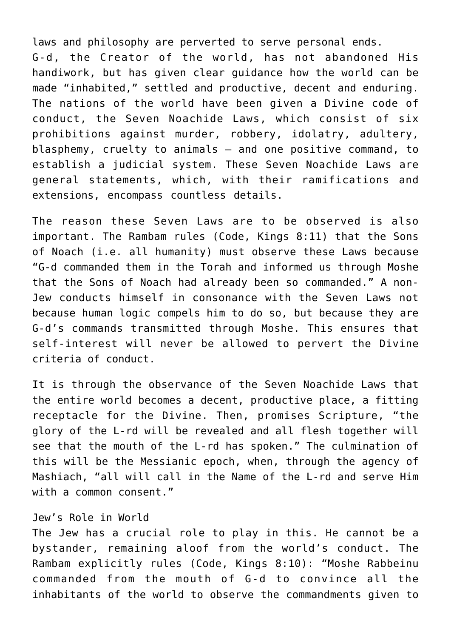laws and philosophy are perverted to serve personal ends. G-d, the Creator of the world, has not abandoned His handiwork, but has given clear guidance how the world can be made "inhabited," settled and productive, decent and enduring. The nations of the world have been given a Divine code of conduct, the Seven Noachide Laws, which consist of six prohibitions against murder, robbery, idolatry, adultery, blasphemy, cruelty to animals — and one positive command, to establish a judicial system. These Seven Noachide Laws are general statements, which, with their ramifications and extensions, encompass countless details.

The reason these Seven Laws are to be observed is also important. The Rambam rules (Code, Kings 8:11) that the Sons of Noach (i.e. all humanity) must observe these Laws because "G-d commanded them in the Torah and informed us through Moshe that the Sons of Noach had already been so commanded." A non-Jew conducts himself in consonance with the Seven Laws not because human logic compels him to do so, but because they are G-d's commands transmitted through Moshe. This ensures that self-interest will never be allowed to pervert the Divine criteria of conduct.

It is through the observance of the Seven Noachide Laws that the entire world becomes a decent, productive place, a fitting receptacle for the Divine. Then, promises Scripture, "the glory of the L-rd will be revealed and all flesh together will see that the mouth of the L-rd has spoken." The culmination of this will be the Messianic epoch, when, through the agency of Mashiach, "all will call in the Name of the L-rd and serve Him with a common consent."

## Jew's Role in World

The Jew has a crucial role to play in this. He cannot be a bystander, remaining aloof from the world's conduct. The Rambam explicitly rules (Code, Kings 8:10): "Moshe Rabbeinu commanded from the mouth of G-d to convince all the inhabitants of the world to observe the commandments given to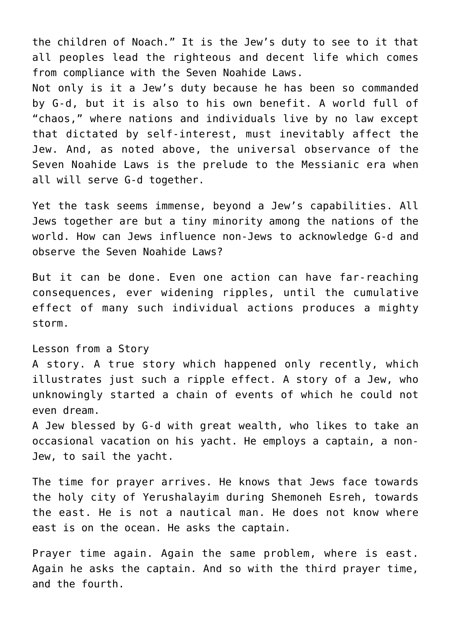the children of Noach." It is the Jew's duty to see to it that all peoples lead the righteous and decent life which comes from compliance with the Seven Noahide Laws.

Not only is it a Jew's duty because he has been so commanded by G-d, but it is also to his own benefit. A world full of "chaos," where nations and individuals live by no law except that dictated by self-interest, must inevitably affect the Jew. And, as noted above, the universal observance of the Seven Noahide Laws is the prelude to the Messianic era when all will serve G-d together.

Yet the task seems immense, beyond a Jew's capabilities. All Jews together are but a tiny minority among the nations of the world. How can Jews influence non-Jews to acknowledge G-d and observe the Seven Noahide Laws?

But it can be done. Even one action can have far-reaching consequences, ever widening ripples, until the cumulative effect of many such individual actions produces a mighty storm.

## Lesson from a Story

A story. A true story which happened only recently, which illustrates just such a ripple effect. A story of a Jew, who unknowingly started a chain of events of which he could not even dream.

A Jew blessed by G-d with great wealth, who likes to take an occasional vacation on his yacht. He employs a captain, a non-Jew, to sail the yacht.

The time for prayer arrives. He knows that Jews face towards the holy city of Yerushalayim during Shemoneh Esreh, towards the east. He is not a nautical man. He does not know where east is on the ocean. He asks the captain.

Prayer time again. Again the same problem, where is east. Again he asks the captain. And so with the third prayer time, and the fourth.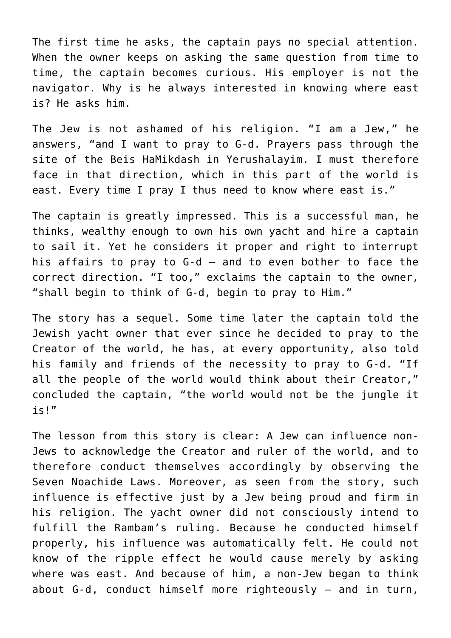The first time he asks, the captain pays no special attention. When the owner keeps on asking the same question from time to time, the captain becomes curious. His employer is not the navigator. Why is he always interested in knowing where east is? He asks him.

The Jew is not ashamed of his religion. "I am a Jew," he answers, "and I want to pray to G-d. Prayers pass through the site of the Beis HaMikdash in Yerushalayim. I must therefore face in that direction, which in this part of the world is east. Every time I pray I thus need to know where east is."

The captain is greatly impressed. This is a successful man, he thinks, wealthy enough to own his own yacht and hire a captain to sail it. Yet he considers it proper and right to interrupt his affairs to pray to G-d — and to even bother to face the correct direction. "I too," exclaims the captain to the owner, "shall begin to think of G-d, begin to pray to Him."

The story has a sequel. Some time later the captain told the Jewish yacht owner that ever since he decided to pray to the Creator of the world, he has, at every opportunity, also told his family and friends of the necessity to pray to G-d. "If all the people of the world would think about their Creator," concluded the captain, "the world would not be the jungle it is!"

The lesson from this story is clear: A Jew can influence non-Jews to acknowledge the Creator and ruler of the world, and to therefore conduct themselves accordingly by observing the Seven Noachide Laws. Moreover, as seen from the story, such influence is effective just by a Jew being proud and firm in his religion. The yacht owner did not consciously intend to fulfill the Rambam's ruling. Because he conducted himself properly, his influence was automatically felt. He could not know of the ripple effect he would cause merely by asking where was east. And because of him, a non-Jew began to think about G-d, conduct himself more righteously — and in turn,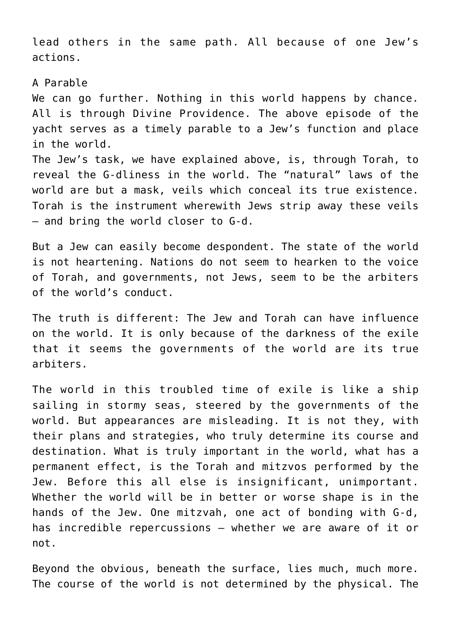lead others in the same path. All because of one Jew's actions.

A Parable

We can go further. Nothing in this world happens by chance. All is through Divine Providence. The above episode of the yacht serves as a timely parable to a Jew's function and place in the world.

The Jew's task, we have explained above, is, through Torah, to reveal the G-dliness in the world. The "natural" laws of the world are but a mask, veils which conceal its true existence. Torah is the instrument wherewith Jews strip away these veils — and bring the world closer to G-d.

But a Jew can easily become despondent. The state of the world is not heartening. Nations do not seem to hearken to the voice of Torah, and governments, not Jews, seem to be the arbiters of the world's conduct.

The truth is different: The Jew and Torah can have influence on the world. It is only because of the darkness of the exile that it seems the governments of the world are its true arbiters.

The world in this troubled time of exile is like a ship sailing in stormy seas, steered by the governments of the world. But appearances are misleading. It is not they, with their plans and strategies, who truly determine its course and destination. What is truly important in the world, what has a permanent effect, is the Torah and mitzvos performed by the Jew. Before this all else is insignificant, unimportant. Whether the world will be in better or worse shape is in the hands of the Jew. One mitzvah, one act of bonding with G-d, has incredible repercussions — whether we are aware of it or not.

Beyond the obvious, beneath the surface, lies much, much more. The course of the world is not determined by the physical. The